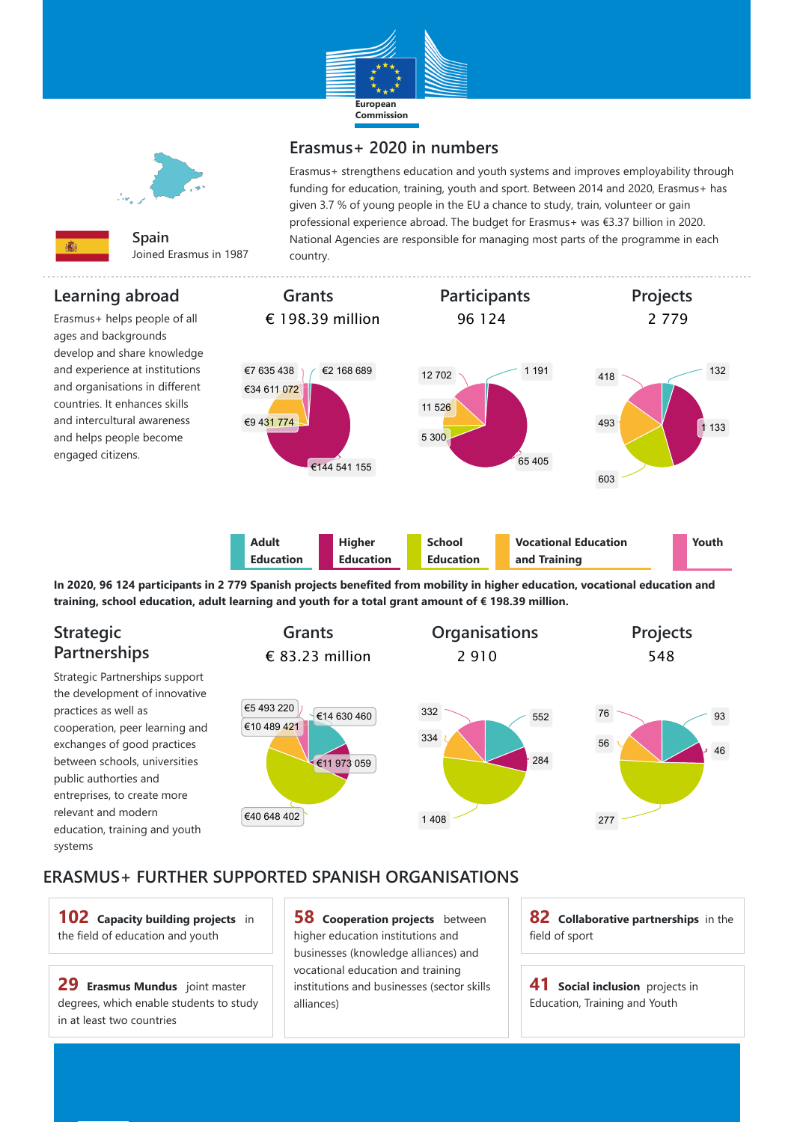## **ERASMUS+ FURTHER SUPPORTED SPANISH ORGANISATIONS**





**Spain** Joined Erasmus in 1987

## **Erasmus+ 2020 in numbers**

Erasmus+ strengthens education and youth systems and improves employability through funding for education, training, youth and sport. Between 2014 and 2020, Erasmus+ has given 3.7 % of young people in the EU a chance to study, train, volunteer or gain professional experience abroad. The budget for Erasmus+ was €3.37 billion in 2020. National Agencies are responsible for managing most parts of the programme in each country.

## **Learning abroad**

Erasmus+ helps people of all ages and backgrounds develop and share knowledge and experience at institutions and organisations in different countries. It enhances skills and intercultural awareness and helps people become engaged citizens.



**58 Cooperation projects** between higher education institutions and businesses (knowledge alliances) and vocational education and training institutions and businesses (sector skills alliances)

**41 Social inclusion** projects in Education, Training and Youth

**In 2020, 96 124 participants in 2 779 Spanish projects benefited from mobility in higher education, vocational education and training, school education, adult learning and youth for a total grant amount of € 198.39 million.**

## **Strategic Partnerships**

Strategic Partnerships support the development of innovative practices as well as cooperation, peer learning and exchanges of good practices between schools, universities public authorties and entreprises, to create more relevant and modern education, training and youth



**102 Capacity building projects** in the field of education and youth

**29 Erasmus Mundus** joint master degrees, which enable students to study in at least two countries

**82 Collaborative partnerships** in the field of sport